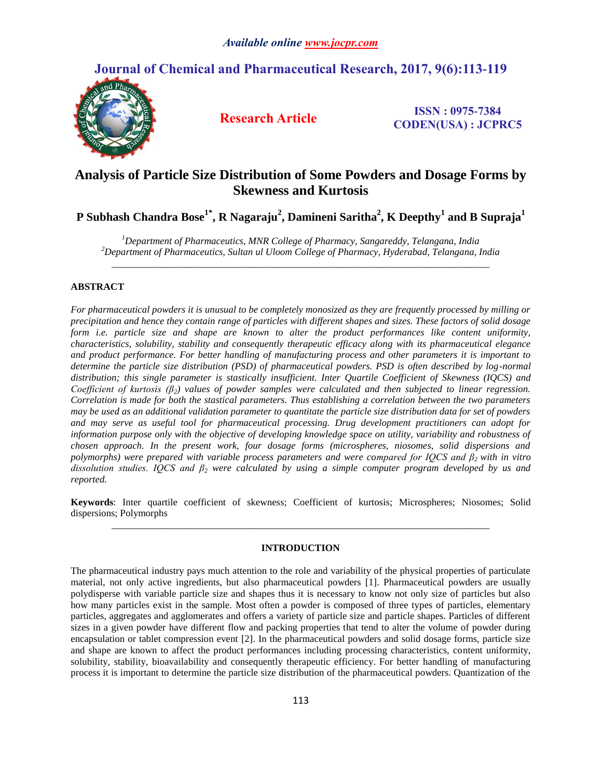# **Journal of Chemical and Pharmaceutical Research, 2017, 9(6):113-119**



**Research Article ISSN : 0975-7384 CODEN(USA) : JCPRC5**

# **Analysis of Particle Size Distribution of Some Powders and Dosage Forms by Skewness and Kurtosis**

**P Subhash Chandra Bose1\* , R Nagaraju<sup>2</sup> , Damineni Saritha<sup>2</sup> , K Deepthy<sup>1</sup> and B Supraja<sup>1</sup>**

*<sup>1</sup>Department of Pharmaceutics, MNR College of Pharmacy, Sangareddy, Telangana, India <sup>2</sup>Department of Pharmaceutics, Sultan ul Uloom College of Pharmacy, Hyderabad, Telangana, India \_\_\_\_\_\_\_\_\_\_\_\_\_\_\_\_\_\_\_\_\_\_\_\_\_\_\_\_\_\_\_\_\_\_\_\_\_\_\_\_\_\_\_\_\_\_\_\_\_\_\_\_\_\_\_\_\_\_\_\_\_\_\_\_\_\_\_\_\_\_\_\_\_\_\_\_\_*

# **ABSTRACT**

*For pharmaceutical powders it is unusual to be completely monosized as they are frequently processed by milling or precipitation and hence they contain range of particles with different shapes and sizes. These factors of solid dosage form i.e. particle size and shape are known to alter the product performances like content uniformity, characteristics, solubility, stability and consequently therapeutic efficacy along with its pharmaceutical elegance and product performance. For better handling of manufacturing process and other parameters it is important to determine the particle size distribution (PSD) of pharmaceutical powders. PSD is often described by log-normal distribution; this single parameter is stastically insufficient. Inter Quartile Coefficient of Skewness (IQCS) and Coefficient of kurtosis (β2) values of powder samples were calculated and then subjected to linear regression. Correlation is made for both the stastical parameters. Thus establishing a correlation between the two parameters may be used as an additional validation parameter to quantitate the particle size distribution data for set of powders and may serve as useful tool for pharmaceutical processing. Drug development practitioners can adopt for information purpose only with the objective of developing knowledge space on utility, variability and robustness of chosen approach. In the present work, four dosage forms (microspheres, niosomes, solid dispersions and polymorphs) were prepared with variable process parameters and were compared for IQCS and β2 with in vitro dissolution studies. IQCS and β<sup>2</sup> were calculated by using a simple computer program developed by us and reported.*

**Keywords**: Inter quartile coefficient of skewness; Coefficient of kurtosis; Microspheres; Niosomes; Solid dispersions; Polymorphs *\_\_\_\_\_\_\_\_\_\_\_\_\_\_\_\_\_\_\_\_\_\_\_\_\_\_\_\_\_\_\_\_\_\_\_\_\_\_\_\_\_\_\_\_\_\_\_\_\_\_\_\_\_\_\_\_\_\_\_\_\_\_\_\_\_\_\_\_\_\_\_\_\_\_\_\_\_*

# **INTRODUCTION**

The pharmaceutical industry pays much attention to the role and variability of the physical properties of particulate material, not only active ingredients, but also pharmaceutical powders [1]. Pharmaceutical powders are usually polydisperse with variable particle size and shapes thus it is necessary to know not only size of particles but also how many particles exist in the sample. Most often a powder is composed of three types of particles, elementary particles, aggregates and agglomerates and offers a variety of particle size and particle shapes. Particles of different sizes in a given powder have different flow and packing properties that tend to alter the volume of powder during encapsulation or tablet compression event [2]. In the pharmaceutical powders and solid dosage forms, particle size and shape are known to affect the product performances including processing characteristics, content uniformity, solubility, stability, bioavailability and consequently therapeutic efficiency. For better handling of manufacturing process it is important to determine the particle size distribution of the pharmaceutical powders. Quantization of the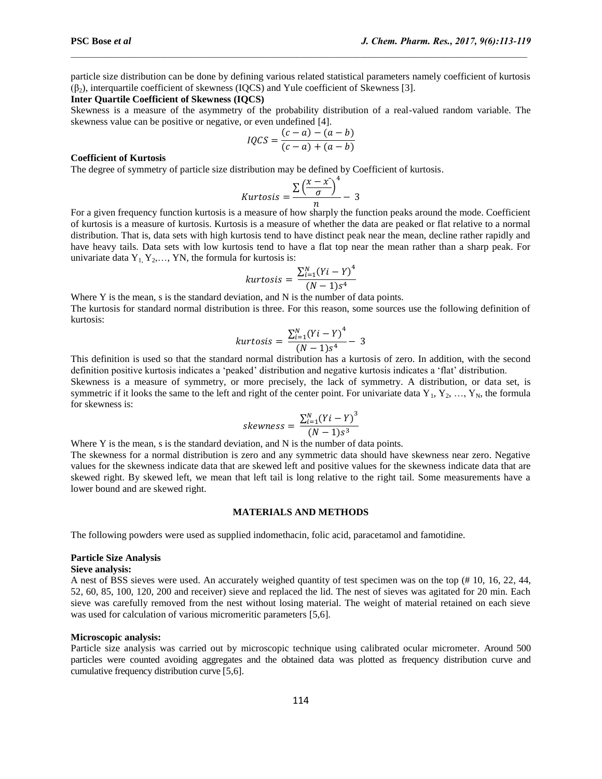particle size distribution can be done by defining various related statistical parameters namely coefficient of kurtosis  $(\beta_2)$ , interquartile coefficient of skewness (IOCS) and Yule coefficient of Skewness [3].

 $\mathcal{L}_\mathcal{L} = \mathcal{L}_\mathcal{L}$ 

#### **Inter Quartile Coefficient of Skewness (IQCS)**

Skewness is a measure of the asymmetry of the probability distribution of a real-valued random variable. The skewness value can be positive or negative, or even undefined [4].

$$
IQCS = \frac{(c-a) - (a-b)}{(c-a) + (a-b)}
$$

#### **Coefficient of Kurtosis**

The degree of symmetry of particle size distribution may be defined by Coefficient of kurtosis.

Kurtosis 
$$
=
$$
  $\frac{\sum (\frac{x - x}{\sigma})^4}{n} - 3$ 

For a given frequency function kurtosis is a measure of how sharply the function peaks around the mode. Coefficient of kurtosis is a measure of kurtosis. Kurtosis is a measure of whether the data are peaked or flat relative to a normal distribution. That is, data sets with high kurtosis tend to have distinct peak near the mean, decline rather rapidly and have heavy tails. Data sets with low kurtosis tend to have a flat top near the mean rather than a sharp peak. For univariate data  $Y_1, Y_2, \ldots, Y_N$ , the formula for kurtosis is:

$$
kurtosis = \frac{\sum_{i=1}^{N} (Yi - Y)^{4}}{(N-1)s^{4}}
$$

Where Y is the mean, s is the standard deviation, and N is the number of data points. The kurtosis for standard normal distribution is three. For this reason, some sources use the following definition of kurtosis:

kurtosis = 
$$
\frac{\sum_{i=1}^{N} (Yi - Y)^{4}}{(N-1)s^{4}} - 3
$$

This definition is used so that the standard normal distribution has a kurtosis of zero. In addition, with the second definition positive kurtosis indicates a 'peaked' distribution and negative kurtosis indicates a 'flat' distribution.

Skewness is a measure of symmetry, or more precisely, the lack of symmetry. A distribution, or data set, is symmetric if it looks the same to the left and right of the center point. For univariate data  $Y_1, Y_2, ..., Y_N$ , the formula for skewness is:

$$
skewness = \frac{\sum_{i=1}^{N} (Yi - Y)^3}{(N-1)s^3}
$$

Where Y is the mean, s is the standard deviation, and N is the number of data points.

The skewness for a normal distribution is zero and any symmetric data should have skewness near zero. Negative values for the skewness indicate data that are skewed left and positive values for the skewness indicate data that are skewed right. By skewed left, we mean that left tail is long relative to the right tail. Some measurements have a lower bound and are skewed right.

#### **MATERIALS AND METHODS**

The following powders were used as supplied indomethacin, folic acid, paracetamol and famotidine.

## **Particle Size Analysis**

# **Sieve analysis:**

A nest of BSS sieves were used. An accurately weighed quantity of test specimen was on the top (# 10, 16, 22, 44, 52, 60, 85, 100, 120, 200 and receiver) sieve and replaced the lid. The nest of sieves was agitated for 20 min. Each sieve was carefully removed from the nest without losing material. The weight of material retained on each sieve was used for calculation of various micromeritic parameters [5,6].

#### **Microscopic analysis:**

Particle size analysis was carried out by microscopic technique using calibrated ocular micrometer. Around 500 particles were counted avoiding aggregates and the obtained data was plotted as frequency distribution curve and cumulative frequency distribution curve [5,6].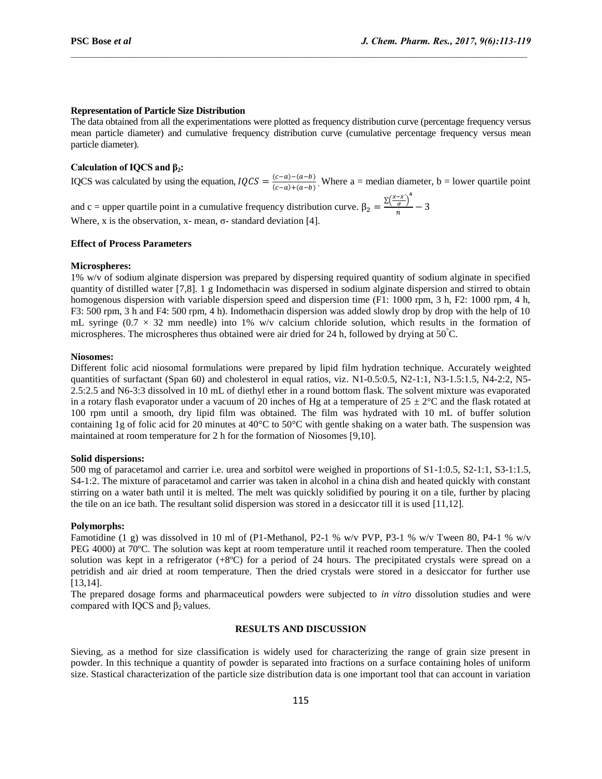#### **Representation of Particle Size Distribution**

The data obtained from all the experimentations were plotted as frequency distribution curve (percentage frequency versus mean particle diameter) and cumulative frequency distribution curve (cumulative percentage frequency versus mean particle diameter).

 $\mathcal{L}_\mathcal{L} = \mathcal{L}_\mathcal{L}$ 

# **Calculation of IQCS and β2:**

IQCS was calculated by using the equation,  $IQCS = \frac{(c-a)-(a-b)}{(c-a)+(a-b)}$  $\frac{(c-a)-(a-b)}{(c-a)+(a-b)}$ , Where a = median diameter, b = lower quartile point

and c = upper quartile point in a cumulative frequency distribution curve.  $\beta_2 = \frac{\Sigma(\frac{x-x}{\sigma})^4}{\sigma}$  $\frac{\sigma}{n}$  -Where, x is the observation, x- mean,  $\sigma$ - standard deviation [4].

#### **Effect of Process Parameters**

#### **Microspheres:**

1% w/v of sodium alginate dispersion was prepared by dispersing required quantity of sodium alginate in specified quantity of distilled water [7,8]. 1 g Indomethacin was dispersed in sodium alginate dispersion and stirred to obtain homogenous dispersion with variable dispersion speed and dispersion time (F1: 1000 rpm, 3 h, F2: 1000 rpm, 4 h, F3: 500 rpm, 3 h and F4: 500 rpm, 4 h). Indomethacin dispersion was added slowly drop by drop with the help of 10 mL syringe ( $0.7 \times 32$  mm needle) into 1% w/v calcium chloride solution, which results in the formation of microspheres. The microspheres thus obtained were air dried for 24 h, followed by drying at 50°C.

## **Niosomes:**

Different folic acid niosomal formulations were prepared by lipid film hydration technique. Accurately weighted quantities of surfactant (Span 60) and cholesterol in equal ratios, viz. N1-0.5:0.5, N2-1:1, N3-1.5:1.5, N4-2:2, N5- 2.5:2.5 and N6-3:3 dissolved in 10 mL of diethyl ether in a round bottom flask. The solvent mixture was evaporated in a rotary flash evaporator under a vacuum of 20 inches of Hg at a temperature of  $25 \pm 2^{\circ}$ C and the flask rotated at 100 rpm until a smooth, dry lipid film was obtained. The film was hydrated with 10 mL of buffer solution containing 1g of folic acid for 20 minutes at 40 $^{\circ}$ C to 50 $^{\circ}$ C with gentle shaking on a water bath. The suspension was maintained at room temperature for 2 h for the formation of Niosomes [9,10].

## **Solid dispersions:**

500 mg of paracetamol and carrier i.e. urea and sorbitol were weighed in proportions of S1-1:0.5, S2-1:1, S3-1:1.5, S4-1:2. The mixture of paracetamol and carrier was taken in alcohol in a china dish and heated quickly with constant stirring on a water bath until it is melted. The melt was quickly solidified by pouring it on a tile, further by placing the tile on an ice bath. The resultant solid dispersion was stored in a desiccator till it is used [11,12].

## **Polymorphs:**

Famotidine (1 g) was dissolved in 10 ml of (P1-Methanol, P2-1 % w/v PVP, P3-1 % w/v Tween 80, P4-1 % w/v PEG 4000) at 70ºC. The solution was kept at room temperature until it reached room temperature. Then the cooled solution was kept in a refrigerator (+8ºC) for a period of 24 hours. The precipitated crystals were spread on a petridish and air dried at room temperature. Then the dried crystals were stored in a desiccator for further use [13,14].

The prepared dosage forms and pharmaceutical powders were subjected to *in vitro* dissolution studies and were compared with IQCS and  $β_2$  values.

# **RESULTS AND DISCUSSION**

Sieving, as a method for size classification is widely used for characterizing the range of grain size present in powder. In this technique a quantity of powder is separated into fractions on a surface containing holes of uniform size. Stastical characterization of the particle size distribution data is one important tool that can account in variation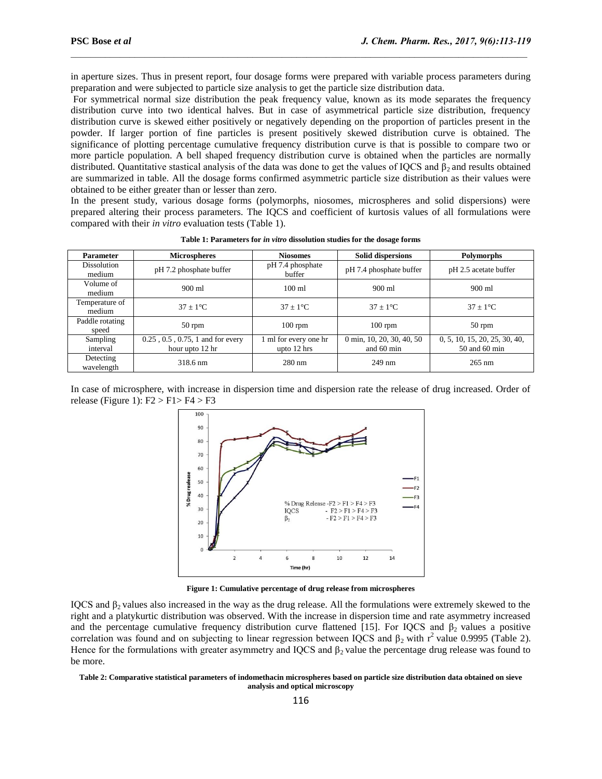in aperture sizes. Thus in present report, four dosage forms were prepared with variable process parameters during preparation and were subjected to particle size analysis to get the particle size distribution data.

 $\mathcal{L}_\mathcal{L} = \mathcal{L}_\mathcal{L}$ 

For symmetrical normal size distribution the peak frequency value, known as its mode separates the frequency distribution curve into two identical halves. But in case of asymmetrical particle size distribution, frequency distribution curve is skewed either positively or negatively depending on the proportion of particles present in the powder. If larger portion of fine particles is present positively skewed distribution curve is obtained. The significance of plotting percentage cumulative frequency distribution curve is that is possible to compare two or more particle population. A bell shaped frequency distribution curve is obtained when the particles are normally distributed. Quantitative stastical analysis of the data was done to get the values of IQCS and  $\beta_2$  and results obtained are summarized in table. All the dosage forms confirmed asymmetric particle size distribution as their values were obtained to be either greater than or lesser than zero.

In the present study, various dosage forms (polymorphs, niosomes, microspheres and solid dispersions) were prepared altering their process parameters. The IQCS and coefficient of kurtosis values of all formulations were compared with their *in vitro* evaluation tests (Table 1).

| <b>Parameter</b>             | <b>Microspheres</b>                                          | <b>Niosomes</b>                      | <b>Solid dispersions</b>                | <b>Polymorphs</b>                              |
|------------------------------|--------------------------------------------------------------|--------------------------------------|-----------------------------------------|------------------------------------------------|
| <b>Dissolution</b><br>medium | pH 7.2 phosphate buffer                                      | pH 7.4 phosphate<br>buffer           | pH 7.4 phosphate buffer                 | pH 2.5 acetate buffer                          |
| Volume of<br>medium          | $900 \text{ ml}$                                             | $100 \text{ ml}$                     | $900 \text{ ml}$                        | $900 \text{ ml}$                               |
| Temperature of<br>medium     | $37 + 1^{\circ}C$                                            | $37 + 1^{\circ}C$                    | $37 + 1$ <sup>o</sup> C                 | $37 + 1^{\circ}C$                              |
| Paddle rotating<br>speed     | $50$ rpm                                                     | $100$ rpm                            | $100$ rpm                               | $50$ rpm                                       |
| Sampling<br>interval         | $0.25$ , $0.5$ , $0.75$ , 1 and for every<br>hour upto 12 hr | 1 ml for every one hr<br>upto 12 hrs | 0 min, 10, 20, 30, 40, 50<br>and 60 min | 0, 5, 10, 15, 20, 25, 30, 40,<br>50 and 60 min |
| Detecting<br>wavelength      | 318.6 nm                                                     | $280 \text{ nm}$                     | $249$ nm                                | $265 \text{ nm}$                               |

**Table 1: Parameters for** *in vitro* **dissolution studies for the dosage forms**

In case of microsphere, with increase in dispersion time and dispersion rate the release of drug increased. Order of release (Figure 1):  $F2 > F1 > F4 > F3$ 



**Figure 1: Cumulative percentage of drug release from microspheres**

IQCS and β<sub>2</sub> values also increased in the way as the drug release. All the formulations were extremely skewed to the right and a platykurtic distribution was observed. With the increase in dispersion time and rate asymmetry increased and the percentage cumulative frequency distribution curve flattened [15]. For IQCS and  $\beta_2$  values a positive correlation was found and on subjecting to linear regression between IQCS and  $\beta_2$  with r<sup>2</sup> value 0.9995 (Table 2). Hence for the formulations with greater asymmetry and IQCS and  $\beta_2$  value the percentage drug release was found to be more.

#### **Table 2: Comparative statistical parameters of indomethacin microspheres based on particle size distribution data obtained on sieve analysis and optical microscopy**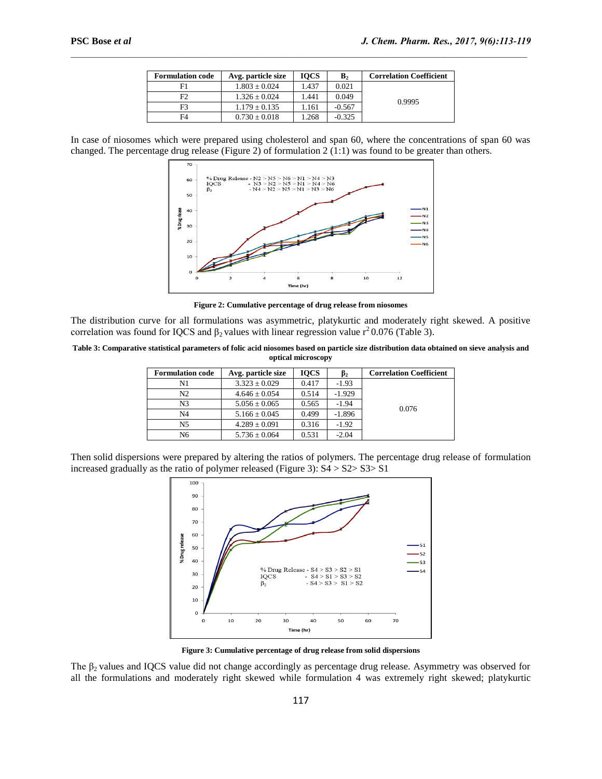| <b>Formulation code</b> | Avg. particle size | <b>IOCS</b> | $\mathbf{B}_2$ | <b>Correlation Coefficient</b> |
|-------------------------|--------------------|-------------|----------------|--------------------------------|
| F1                      | $1.803 \pm 0.024$  | 1.437       | 0.021          |                                |
| F2                      | $1.326 \pm 0.024$  | 1.441       | 0.049          | 0.9995                         |
| F <sub>3</sub>          | $1.179 \pm 0.135$  | 1.161       | $-0.567$       |                                |
| F4                      | $0.730 \pm 0.018$  | . 268       | $-0.325$       |                                |

 $\mathcal{L}_\mathcal{L} = \mathcal{L}_\mathcal{L}$ 

In case of niosomes which were prepared using cholesterol and span 60, where the concentrations of span 60 was changed. The percentage drug release (Figure 2) of formulation 2 (1:1) was found to be greater than others.



**Figure 2: Cumulative percentage of drug release from niosomes**

The distribution curve for all formulations was asymmetric, platykurtic and moderately right skewed. A positive correlation was found for IQCS and  $\beta_2$  values with linear regression value r<sup>2</sup> 0.076 (Table 3).

**Table 3: Comparative statistical parameters of folic acid niosomes based on particle size distribution data obtained on sieve analysis and optical microscopy**

| <b>Formulation code</b> | Avg. particle size | <b>IOCS</b> | $\beta_2$ | <b>Correlation Coefficient</b> |
|-------------------------|--------------------|-------------|-----------|--------------------------------|
| N1                      | $3.323 \pm 0.029$  | 0.417       | $-1.93$   |                                |
| N <sub>2</sub>          | $4.646 \pm 0.054$  | 0.514       | $-1.929$  |                                |
| N <sub>3</sub>          | $5.056 \pm 0.065$  | 0.565       | $-1.94$   | 0.076                          |
| N <sub>4</sub>          | $5.166 \pm 0.045$  | 0.499       | $-1.896$  |                                |
| N <sub>5</sub>          | $4.289 \pm 0.091$  | 0.316       | $-1.92$   |                                |
| N <sub>6</sub>          | $5.736 \pm 0.064$  | 0.531       | $-2.04$   |                                |

Then solid dispersions were prepared by altering the ratios of polymers. The percentage drug release of formulation increased gradually as the ratio of polymer released (Figure 3):  $S4 > S2 > S3 > S1$ 



**Figure 3: Cumulative percentage of drug release from solid dispersions**

The  $\beta_2$  values and IQCS value did not change accordingly as percentage drug release. Asymmetry was observed for all the formulations and moderately right skewed while formulation 4 was extremely right skewed; platykurtic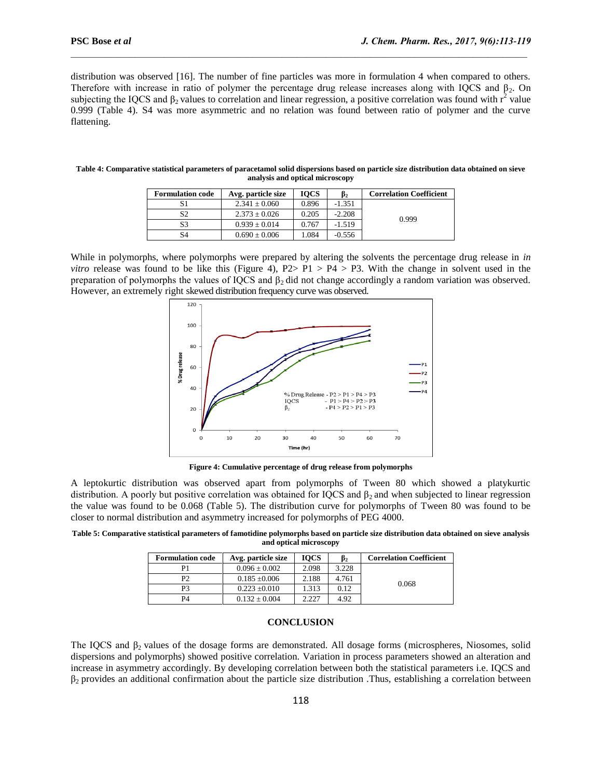distribution was observed [16]. The number of fine particles was more in formulation 4 when compared to others. Therefore with increase in ratio of polymer the percentage drug release increases along with IOCS and  $\beta_2$ . On subjecting the IQCS and  $\beta_2$  values to correlation and linear regression, a positive correlation was found with  $r^2$  value 0.999 (Table 4). S4 was more asymmetric and no relation was found between ratio of polymer and the curve flattening.

 $\mathcal{L}_\mathcal{L} = \mathcal{L}_\mathcal{L}$ 

| <b>Formulation code</b> | Avg. particle size | <b>IOCS</b> | $\beta_2$ | <b>Correlation Coefficient</b> |
|-------------------------|--------------------|-------------|-----------|--------------------------------|
|                         | $2.341 \pm 0.060$  | 0.896       | $-1.351$  |                                |
| S <sub>2</sub>          | $2.373 + 0.026$    | 0.205       | $-2.208$  | 0.999                          |
| S3                      | $0.939 \pm 0.014$  | 0.767       | $-1.519$  |                                |
| S4                      | $0.690 \pm 0.006$  | 1.084       | $-0.556$  |                                |

| Table 4: Comparative statistical parameters of paracetamol solid dispersions based on particle size distribution data obtained on sieve |
|-----------------------------------------------------------------------------------------------------------------------------------------|
| analysis and optical microscopy                                                                                                         |

While in polymorphs, where polymorphs were prepared by altering the solvents the percentage drug release in *in vitro* release was found to be like this (Figure 4),  $P2 > P1 > P4 > P3$ . With the change in solvent used in the preparation of polymorphs the values of IQCS and  $\beta_2$  did not change accordingly a random variation was observed. However, an extremely right skewed distribution frequency curve was observed.



**Figure 4: Cumulative percentage of drug release from polymorphs**

A leptokurtic distribution was observed apart from polymorphs of Tween 80 which showed a platykurtic distribution. A poorly but positive correlation was obtained for IQCS and  $\beta_2$  and when subjected to linear regression the value was found to be 0.068 (Table 5). The distribution curve for polymorphs of Tween 80 was found to be closer to normal distribution and asymmetry increased for polymorphs of PEG 4000.

**Table 5: Comparative statistical parameters of famotidine polymorphs based on particle size distribution data obtained on sieve analysis and optical microscopy**

| <b>Formulation code</b> | Avg. particle size | <b>IOCS</b> | $\beta_2$ | <b>Correlation Coefficient</b> |
|-------------------------|--------------------|-------------|-----------|--------------------------------|
| P1                      | $0.096 \pm 0.002$  | 2.098       | 3.228     |                                |
| P2                      | $0.185 \pm 0.006$  | 2.188       | 4.761     | 0.068                          |
| P3                      | $0.223 \pm 0.010$  | .313        | 0.12      |                                |
| P4                      | $0.132 \pm 0.004$  | 2.227       | 4.92      |                                |

## **CONCLUSION**

The IQCS and  $\beta_2$  values of the dosage forms are demonstrated. All dosage forms (microspheres, Niosomes, solid dispersions and polymorphs) showed positive correlation. Variation in process parameters showed an alteration and increase in asymmetry accordingly. By developing correlation between both the statistical parameters i.e. IQCS and  $\beta_2$  provides an additional confirmation about the particle size distribution .Thus, establishing a correlation between